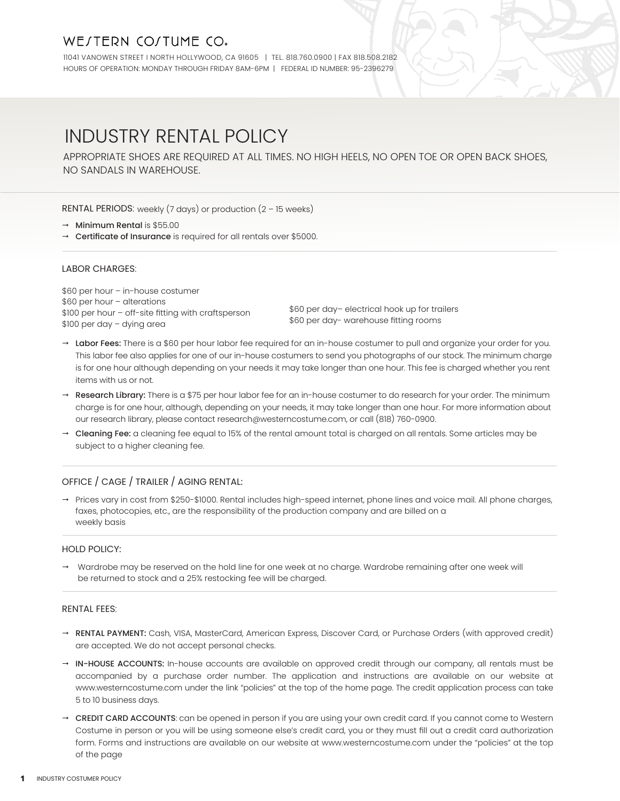# WE/TERN CO/TUME CO.

11041 VANOWEN STREET I NORTH HOLLYWOOD, CA 91605 | TEL. 818.760.0900 | FAX 818.508.2182 HOURS OF OPERATION: MONDAY THROUGH FRIDAY 8AM-6PM | FEDERAL ID NUMBER: 95-2396279

# INDUSTRY RENTAL POLICY

APPROPRIATE SHOES ARE REQUIRED AT ALL TIMES. NO HIGH HEELS, NO OPEN TOE OR OPEN BACK SHOES, NO SANDALS IN WAREHOUSE.

RENTAL PERIODS: weekly (7 days) or production (2 – 15 weeks)

- $\rightarrow$  Minimum Rental is \$55.00
- → Certificate of Insurance is required for all rentals over \$5000.

### LABOR CHARGES:

\$60 per hour – in-house costumer \$60 per hour – alterations \$100 per hour – off-site fitting with craftsperson \$100 per day – dying area

\$60 per day– electrical hook up for trailers \$60 per day- warehouse fitting rooms

- → Labor Fees: There is a \$60 per hour labor fee required for an in-house costumer to pull and organize your order for you. This labor fee also applies for one of our in-house costumers to send you photographs of our stock. The minimum charge is for one hour although depending on your needs it may take longer than one hour. This fee is charged whether you rent items with us or not.
- Research Library: There is a \$75 per hour labor fee for an in-house costumer to do research for your order. The minimum charge is for one hour, although, depending on your needs, it may take longer than one hour. For more information about our research library, please contact research@westerncostume.com, or call (818) 760-0900.
- → Cleaning Fee: a cleaning fee equal to 15% of the rental amount total is charged on all rentals. Some articles may be subject to a higher cleaning fee.

# OFFICE / CAGE / TRAILER / AGING RENTAL:

→ Prices vary in cost from \$250-\$1000. Rental includes high-speed internet, phone lines and voice mail. All phone charges, faxes, photocopies, etc., are the responsibility of the production company and are billed on a weekly basis

## HOLD POLICY:

 Wardrobe may be reserved on the hold line for one week at no charge. Wardrobe remaining after one week will be returned to stock and a 25% restocking fee will be charged.

#### RENTAL FEES:

- → RENTAL PAYMENT: Cash, VISA, MasterCard, American Express, Discover Card, or Purchase Orders (with approved credit) are accepted. We do not accept personal checks.
- → IN-HOUSE ACCOUNTS: In-house accounts are available on approved credit through our company, all rentals must be accompanied by a purchase order number. The application and instructions are available on our website at www.westerncostume.com under the link "policies" at the top of the home page. The credit application process can take 5 to 10 business days.
- → CREDIT CARD ACCOUNTS: can be opened in person if you are using your own credit card. If you cannot come to Western Costume in person or you will be using someone else's credit card, you or they must fill out a credit card authorization form. Forms and instructions are available on our website at www.westerncostume.com under the "policies" at the top of the page